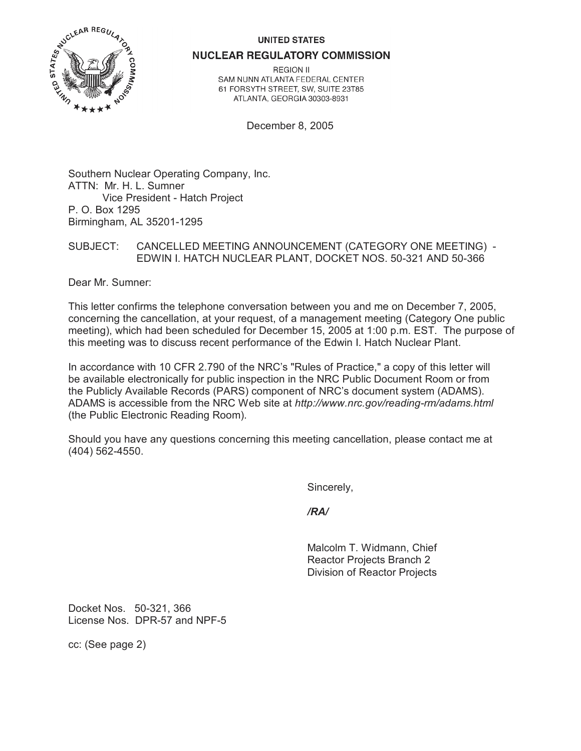## **UNITED STATES**



**NUCLEAR REGULATORY COMMISSION** 

**REGION II** SAM NUNN ATLANTA FEDERAL CENTER 61 FORSYTH STREET, SW, SUITE 23T85 ATLANTA, GEORGIA 30303-8931

December 8, 2005

Southern Nuclear Operating Company, Inc. ATTN: Mr. H. L. Sumner Vice President - Hatch Project P. O. Box 1295 Birmingham, AL 35201-1295

SUBJECT: CANCELLED MEETING ANNOUNCEMENT (CATEGORY ONE MEETING) - EDWIN I. HATCH NUCLEAR PLANT, DOCKET NOS. 50-321 AND 50-366

Dear Mr. Sumner:

This letter confirms the telephone conversation between you and me on December 7, 2005, concerning the cancellation, at your request, of a management meeting (Category One public meeting), which had been scheduled for December 15, 2005 at 1:00 p.m. EST. The purpose of this meeting was to discuss recent performance of the Edwin I. Hatch Nuclear Plant.

In accordance with 10 CFR 2.790 of the NRC's "Rules of Practice," a copy of this letter will be available electronically for public inspection in the NRC Public Document Room or from the Publicly Available Records (PARS) component of NRC's document system (ADAMS). ADAMS is accessible from the NRC Web site at *http://www.nrc.gov/reading-rm/adams.html* (the Public Electronic Reading Room).

Should you have any questions concerning this meeting cancellation, please contact me at (404) 562-4550.

Sincerely,

*/RA/*

Malcolm T. Widmann, Chief Reactor Projects Branch 2 Division of Reactor Projects

Docket Nos. 50-321, 366 License Nos. DPR-57 and NPF-5

cc: (See page 2)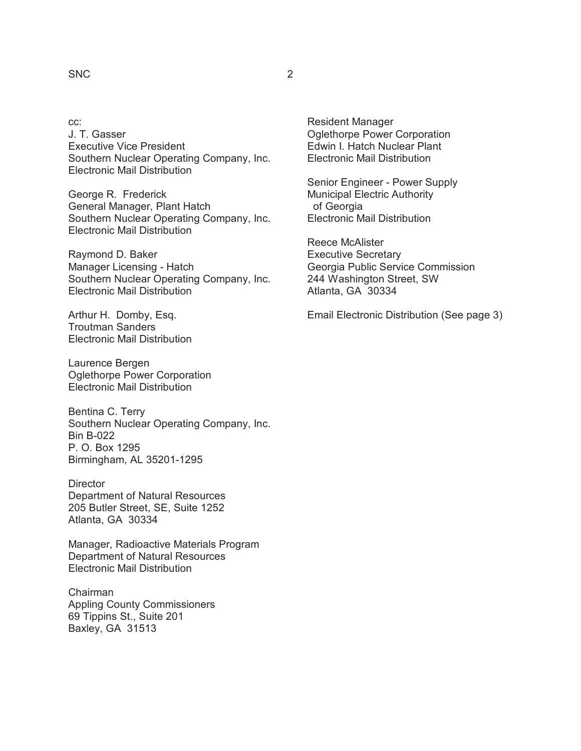## SNC 2

cc: J. T. Gasser Executive Vice President Southern Nuclear Operating Company, Inc. Electronic Mail Distribution

George R. Frederick General Manager, Plant Hatch Southern Nuclear Operating Company, Inc. Electronic Mail Distribution

Raymond D. Baker Manager Licensing - Hatch Southern Nuclear Operating Company, Inc. Electronic Mail Distribution

Arthur H. Domby, Esq. Troutman Sanders Electronic Mail Distribution

Laurence Bergen Oglethorpe Power Corporation Electronic Mail Distribution

Bentina C. Terry Southern Nuclear Operating Company, Inc. Bin B-022 P. O. Box 1295 Birmingham, AL 35201-1295

**Director** Department of Natural Resources 205 Butler Street, SE, Suite 1252 Atlanta, GA 30334

Manager, Radioactive Materials Program Department of Natural Resources Electronic Mail Distribution

Chairman Appling County Commissioners 69 Tippins St., Suite 201 Baxley, GA 31513

Resident Manager Oglethorpe Power Corporation Edwin I. Hatch Nuclear Plant Electronic Mail Distribution

Senior Engineer - Power Supply Municipal Electric Authority of Georgia Electronic Mail Distribution

Reece McAlister Executive Secretary Georgia Public Service Commission 244 Washington Street, SW Atlanta, GA 30334

Email Electronic Distribution (See page 3)